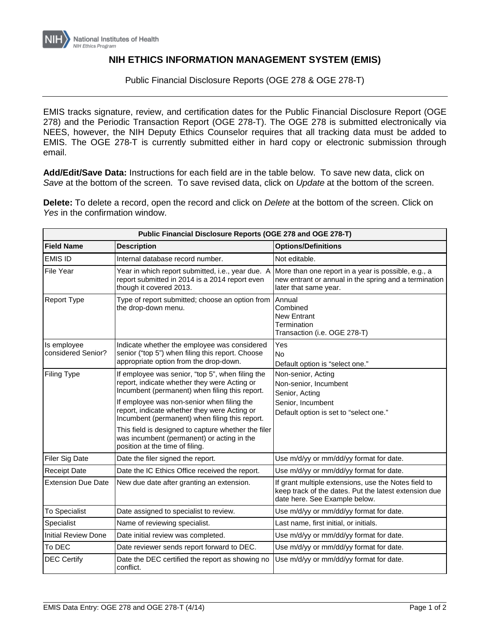## **NIH ETHICS INFORMATION MANAGEMENT SYSTEM (EMIS)**

Public Financial Disclosure Reports (OGE 278 & OGE 278-T)

EMIS tracks signature, review, and certification dates for the Public Financial Disclosure Report (OGE 278) and the Periodic Transaction Report (OGE 278-T). The OGE 278 is submitted electronically via NEES, however, the NIH Deputy Ethics Counselor requires that all tracking data must be added to EMIS. The OGE 278-T is currently submitted either in hard copy or electronic submission through email.

**Add/Edit/Save Data:** Instructions for each field are in the table below. To save new data, click on *Save* at the bottom of the screen. To save revised data, click on *Update* at the bottom of the screen.

**Delete:** To delete a record, open the record and click on *Delete* at the bottom of the screen. Click on *Yes* in the confirmation window.

| Public Financial Disclosure Reports (OGE 278 and OGE 278-T) |                                                                                                                                                    |                                                                                                                                                |  |
|-------------------------------------------------------------|----------------------------------------------------------------------------------------------------------------------------------------------------|------------------------------------------------------------------------------------------------------------------------------------------------|--|
| <b>Field Name</b>                                           | <b>Description</b>                                                                                                                                 | <b>Options/Definitions</b>                                                                                                                     |  |
| <b>EMIS ID</b>                                              | Internal database record number.                                                                                                                   | Not editable.                                                                                                                                  |  |
| <b>File Year</b>                                            | Year in which report submitted, i.e., year due. A<br>report submitted in 2014 is a 2014 report even<br>though it covered 2013.                     | More than one report in a year is possible, e.g., a<br>new entrant or annual in the spring and a termination<br>later that same year.          |  |
| <b>Report Type</b>                                          | Type of report submitted; choose an option from<br>the drop-down menu.                                                                             | Annual<br>Combined<br><b>New Entrant</b><br>Termination<br>Transaction (i.e. OGE 278-T)                                                        |  |
| Is employee<br>considered Senior?                           | Indicate whether the employee was considered<br>senior ("top 5") when filing this report. Choose<br>appropriate option from the drop-down.         | Yes<br><b>No</b><br>Default option is "select one."                                                                                            |  |
| <b>Filing Type</b>                                          | If employee was senior, "top 5", when filing the<br>report, indicate whether they were Acting or<br>Incumbent (permanent) when filing this report. | Non-senior, Acting<br>Non-senior, Incumbent<br>Senior, Acting                                                                                  |  |
|                                                             | If employee was non-senior when filing the<br>report, indicate whether they were Acting or<br>Incumbent (permanent) when filing this report.       | Senior, Incumbent<br>Default option is set to "select one."                                                                                    |  |
|                                                             | This field is designed to capture whether the filer<br>was incumbent (permanent) or acting in the<br>position at the time of filing.               |                                                                                                                                                |  |
| <b>Filer Sig Date</b>                                       | Date the filer signed the report.                                                                                                                  | Use m/d/yy or mm/dd/yy format for date.                                                                                                        |  |
| <b>Receipt Date</b>                                         | Date the IC Ethics Office received the report.                                                                                                     | Use m/d/yy or mm/dd/yy format for date.                                                                                                        |  |
| <b>Extension Due Date</b>                                   | New due date after granting an extension.                                                                                                          | If grant multiple extensions, use the Notes field to<br>keep track of the dates. Put the latest extension due<br>date here. See Example below. |  |
| <b>To Specialist</b>                                        | Date assigned to specialist to review.                                                                                                             | Use m/d/yy or mm/dd/yy format for date.                                                                                                        |  |
| Specialist                                                  | Name of reviewing specialist.                                                                                                                      | Last name, first initial, or initials.                                                                                                         |  |
| <b>Initial Review Done</b>                                  | Date initial review was completed.                                                                                                                 | Use m/d/yy or mm/dd/yy format for date.                                                                                                        |  |
| To DEC                                                      | Date reviewer sends report forward to DEC.                                                                                                         | Use m/d/yy or mm/dd/yy format for date.                                                                                                        |  |
| <b>DEC Certify</b>                                          | Date the DEC certified the report as showing no<br>conflict.                                                                                       | Use m/d/yy or mm/dd/yy format for date.                                                                                                        |  |